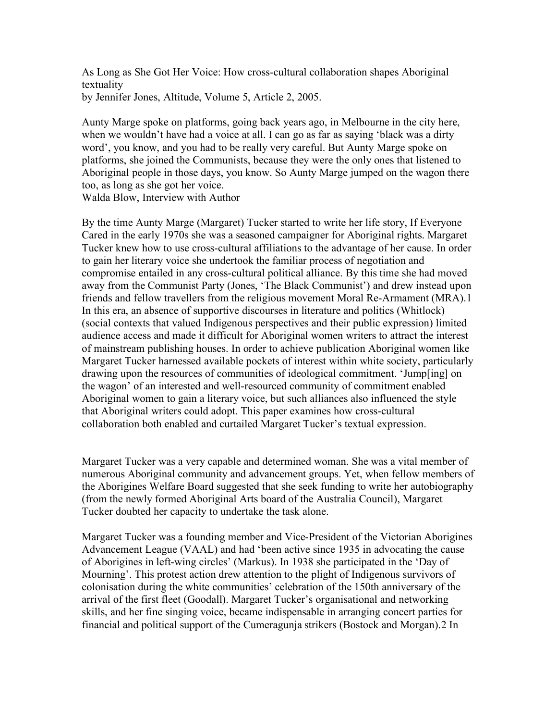As Long as She Got Her Voice: How cross-cultural collaboration shapes Aboriginal textuality by Jennifer Jones, Altitude, Volume 5, Article 2, 2005.

Aunty Marge spoke on platforms, going back years ago, in Melbourne in the city here, when we wouldn't have had a voice at all. I can go as far as saying 'black was a dirty word', you know, and you had to be really very careful. But Aunty Marge spoke on platforms, she joined the Communists, because they were the only ones that listened to Aboriginal people in those days, you know. So Aunty Marge jumped on the wagon there too, as long as she got her voice.

Walda Blow, Interview with Author

By the time Aunty Marge (Margaret) Tucker started to write her life story, If Everyone Cared in the early 1970s she was a seasoned campaigner for Aboriginal rights. Margaret Tucker knew how to use cross-cultural affiliations to the advantage of her cause. In order to gain her literary voice she undertook the familiar process of negotiation and compromise entailed in any cross-cultural political alliance. By this time she had moved away from the Communist Party (Jones, 'The Black Communist') and drew instead upon friends and fellow travellers from the religious movement Moral Re-Armament (MRA).1 In this era, an absence of supportive discourses in literature and politics (Whitlock) (social contexts that valued Indigenous perspectives and their public expression) limited audience access and made it difficult for Aboriginal women writers to attract the interest of mainstream publishing houses. In order to achieve publication Aboriginal women like Margaret Tucker harnessed available pockets of interest within white society, particularly drawing upon the resources of communities of ideological commitment. 'Jump[ing] on the wagon' of an interested and well-resourced community of commitment enabled Aboriginal women to gain a literary voice, but such alliances also influenced the style that Aboriginal writers could adopt. This paper examines how cross-cultural collaboration both enabled and curtailed Margaret Tucker's textual expression.

Margaret Tucker was a very capable and determined woman. She was a vital member of numerous Aboriginal community and advancement groups. Yet, when fellow members of the Aborigines Welfare Board suggested that she seek funding to write her autobiography (from the newly formed Aboriginal Arts board of the Australia Council), Margaret Tucker doubted her capacity to undertake the task alone.

Margaret Tucker was a founding member and Vice-President of the Victorian Aborigines Advancement League (VAAL) and had 'been active since 1935 in advocating the cause of Aborigines in left-wing circles' (Markus). In 1938 she participated in the 'Day of Mourning'. This protest action drew attention to the plight of Indigenous survivors of colonisation during the white communities' celebration of the 150th anniversary of the arrival of the first fleet (Goodall). Margaret Tucker's organisational and networking skills, and her fine singing voice, became indispensable in arranging concert parties for financial and political support of the Cumeragunja strikers (Bostock and Morgan).2 In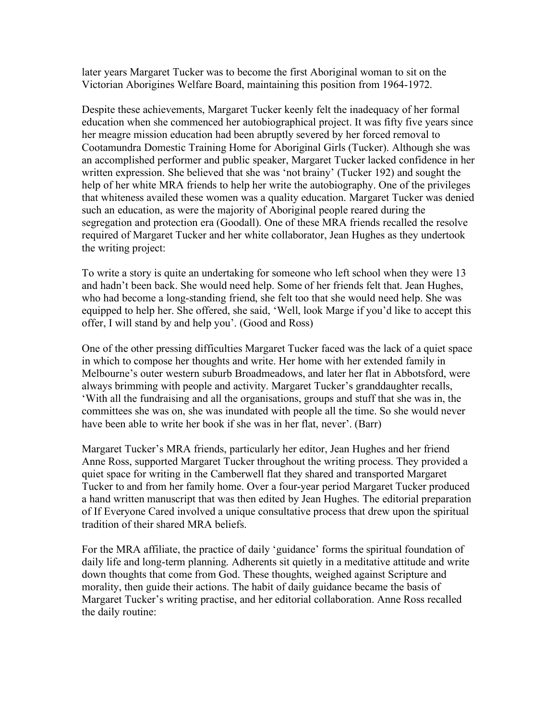later years Margaret Tucker was to become the first Aboriginal woman to sit on the Victorian Aborigines Welfare Board, maintaining this position from 1964-1972.

Despite these achievements, Margaret Tucker keenly felt the inadequacy of her formal education when she commenced her autobiographical project. It was fifty five years since her meagre mission education had been abruptly severed by her forced removal to Cootamundra Domestic Training Home for Aboriginal Girls (Tucker). Although she was an accomplished performer and public speaker, Margaret Tucker lacked confidence in her written expression. She believed that she was 'not brainy' (Tucker 192) and sought the help of her white MRA friends to help her write the autobiography. One of the privileges that whiteness availed these women was a quality education. Margaret Tucker was denied such an education, as were the majority of Aboriginal people reared during the segregation and protection era (Goodall). One of these MRA friends recalled the resolve required of Margaret Tucker and her white collaborator, Jean Hughes as they undertook the writing project:

To write a story is quite an undertaking for someone who left school when they were 13 and hadn't been back. She would need help. Some of her friends felt that. Jean Hughes, who had become a long-standing friend, she felt too that she would need help. She was equipped to help her. She offered, she said, 'Well, look Marge if you'd like to accept this offer, I will stand by and help you'. (Good and Ross)

One of the other pressing difficulties Margaret Tucker faced was the lack of a quiet space in which to compose her thoughts and write. Her home with her extended family in Melbourne's outer western suburb Broadmeadows, and later her flat in Abbotsford, were always brimming with people and activity. Margaret Tucker's granddaughter recalls, 'With all the fundraising and all the organisations, groups and stuff that she was in, the committees she was on, she was inundated with people all the time. So she would never have been able to write her book if she was in her flat, never'. (Barr)

Margaret Tucker's MRA friends, particularly her editor, Jean Hughes and her friend Anne Ross, supported Margaret Tucker throughout the writing process. They provided a quiet space for writing in the Camberwell flat they shared and transported Margaret Tucker to and from her family home. Over a four-year period Margaret Tucker produced a hand written manuscript that was then edited by Jean Hughes. The editorial preparation of If Everyone Cared involved a unique consultative process that drew upon the spiritual tradition of their shared MRA beliefs.

For the MRA affiliate, the practice of daily 'guidance' forms the spiritual foundation of daily life and long-term planning. Adherents sit quietly in a meditative attitude and write down thoughts that come from God. These thoughts, weighed against Scripture and morality, then guide their actions. The habit of daily guidance became the basis of Margaret Tucker's writing practise, and her editorial collaboration. Anne Ross recalled the daily routine: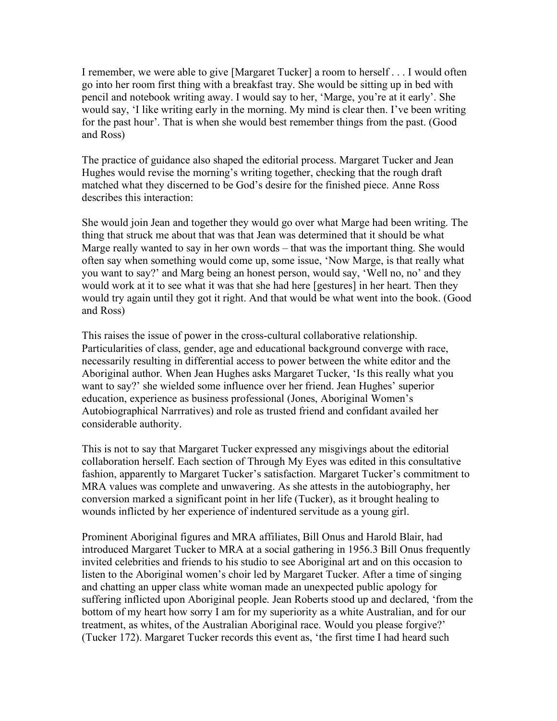I remember, we were able to give [Margaret Tucker] a room to herself . . . I would often go into her room first thing with a breakfast tray. She would be sitting up in bed with pencil and notebook writing away. I would say to her, 'Marge, you're at it early'. She would say, 'I like writing early in the morning. My mind is clear then. I've been writing for the past hour'. That is when she would best remember things from the past. (Good and Ross)

The practice of guidance also shaped the editorial process. Margaret Tucker and Jean Hughes would revise the morning's writing together, checking that the rough draft matched what they discerned to be God's desire for the finished piece. Anne Ross describes this interaction:

She would join Jean and together they would go over what Marge had been writing. The thing that struck me about that was that Jean was determined that it should be what Marge really wanted to say in her own words – that was the important thing. She would often say when something would come up, some issue, 'Now Marge, is that really what you want to say?' and Marg being an honest person, would say, 'Well no, no' and they would work at it to see what it was that she had here [gestures] in her heart. Then they would try again until they got it right. And that would be what went into the book. (Good and Ross)

This raises the issue of power in the cross-cultural collaborative relationship. Particularities of class, gender, age and educational background converge with race, necessarily resulting in differential access to power between the white editor and the Aboriginal author. When Jean Hughes asks Margaret Tucker, 'Is this really what you want to say?' she wielded some influence over her friend. Jean Hughes' superior education, experience as business professional (Jones, Aboriginal Women's Autobiographical Narrratives) and role as trusted friend and confidant availed her considerable authority.

This is not to say that Margaret Tucker expressed any misgivings about the editorial collaboration herself. Each section of Through My Eyes was edited in this consultative fashion, apparently to Margaret Tucker's satisfaction. Margaret Tucker's commitment to MRA values was complete and unwavering. As she attests in the autobiography, her conversion marked a significant point in her life (Tucker), as it brought healing to wounds inflicted by her experience of indentured servitude as a young girl.

Prominent Aboriginal figures and MRA affiliates, Bill Onus and Harold Blair, had introduced Margaret Tucker to MRA at a social gathering in 1956.3 Bill Onus frequently invited celebrities and friends to his studio to see Aboriginal art and on this occasion to listen to the Aboriginal women's choir led by Margaret Tucker. After a time of singing and chatting an upper class white woman made an unexpected public apology for suffering inflicted upon Aboriginal people. Jean Roberts stood up and declared, 'from the bottom of my heart how sorry I am for my superiority as a white Australian, and for our treatment, as whites, of the Australian Aboriginal race. Would you please forgive?' (Tucker 172). Margaret Tucker records this event as, 'the first time I had heard such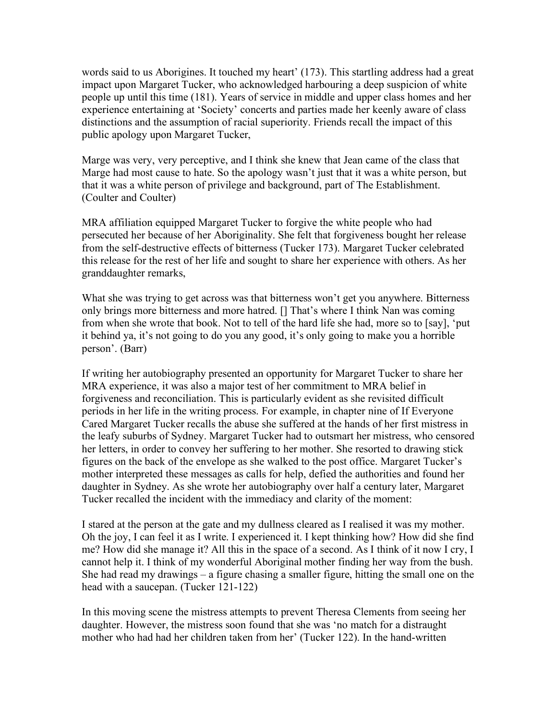words said to us Aborigines. It touched my heart' (173). This startling address had a great impact upon Margaret Tucker, who acknowledged harbouring a deep suspicion of white people up until this time (181). Years of service in middle and upper class homes and her experience entertaining at 'Society' concerts and parties made her keenly aware of class distinctions and the assumption of racial superiority. Friends recall the impact of this public apology upon Margaret Tucker,

Marge was very, very perceptive, and I think she knew that Jean came of the class that Marge had most cause to hate. So the apology wasn't just that it was a white person, but that it was a white person of privilege and background, part of The Establishment. (Coulter and Coulter)

MRA affiliation equipped Margaret Tucker to forgive the white people who had persecuted her because of her Aboriginality. She felt that forgiveness bought her release from the self-destructive effects of bitterness (Tucker 173). Margaret Tucker celebrated this release for the rest of her life and sought to share her experience with others. As her granddaughter remarks,

What she was trying to get across was that bitterness won't get you anywhere. Bitterness only brings more bitterness and more hatred. [] That's where I think Nan was coming from when she wrote that book. Not to tell of the hard life she had, more so to [say], 'put it behind ya, it's not going to do you any good, it's only going to make you a horrible person'. (Barr)

If writing her autobiography presented an opportunity for Margaret Tucker to share her MRA experience, it was also a major test of her commitment to MRA belief in forgiveness and reconciliation. This is particularly evident as she revisited difficult periods in her life in the writing process. For example, in chapter nine of If Everyone Cared Margaret Tucker recalls the abuse she suffered at the hands of her first mistress in the leafy suburbs of Sydney. Margaret Tucker had to outsmart her mistress, who censored her letters, in order to convey her suffering to her mother. She resorted to drawing stick figures on the back of the envelope as she walked to the post office. Margaret Tucker's mother interpreted these messages as calls for help, defied the authorities and found her daughter in Sydney. As she wrote her autobiography over half a century later, Margaret Tucker recalled the incident with the immediacy and clarity of the moment:

I stared at the person at the gate and my dullness cleared as I realised it was my mother. Oh the joy, I can feel it as I write. I experienced it. I kept thinking how? How did she find me? How did she manage it? All this in the space of a second. As I think of it now I cry, I cannot help it. I think of my wonderful Aboriginal mother finding her way from the bush. She had read my drawings – a figure chasing a smaller figure, hitting the small one on the head with a saucepan. (Tucker 121-122)

In this moving scene the mistress attempts to prevent Theresa Clements from seeing her daughter. However, the mistress soon found that she was 'no match for a distraught mother who had had her children taken from her' (Tucker 122). In the hand-written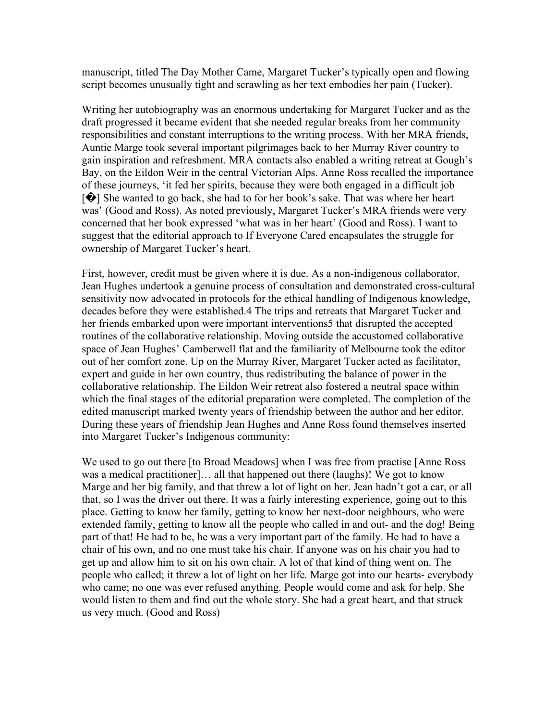manuscript, titled The Day Mother Came, Margaret Tucker's typically open and flowing script becomes unusually tight and scrawling as her text embodies her pain (Tucker).

Writing her autobiography was an enormous undertaking for Margaret Tucker and as the draft progressed it became evident that she needed regular breaks from her community responsibilities and constant interruptions to the writing process. With her MRA friends, Auntie Marge took several important pilgrimages back to her Murray River country to gain inspiration and refreshment. MRA contacts also enabled a writing retreat at Gough's Bay, on the Eildon Weir in the central Victorian Alps. Anne Ross recalled the importance of these journeys, 'it fed her spirits, because they were both engaged in a difficult job [�] She wanted to go back, she had to for her book's sake. That was where her heart was' (Good and Ross). As noted previously, Margaret Tucker's MRA friends were very concerned that her book expressed 'what was in her heart' (Good and Ross). I want to suggest that the editorial approach to If Everyone Cared encapsulates the struggle for ownership of Margaret Tucker's heart.

First, however, credit must be given where it is due. As a non-indigenous collaborator, Jean Hughes undertook a genuine process of consultation and demonstrated cross-cultural sensitivity now advocated in protocols for the ethical handling of Indigenous knowledge, decades before they were established.4 The trips and retreats that Margaret Tucker and her friends embarked upon were important interventions5 that disrupted the accepted routines of the collaborative relationship. Moving outside the accustomed collaborative space of Jean Hughes' Camberwell flat and the familiarity of Melbourne took the editor out of her comfort zone. Up on the Murray River, Margaret Tucker acted as facilitator, expert and guide in her own country, thus redistributing the balance of power in the collaborative relationship. The Eildon Weir retreat also fostered a neutral space within which the final stages of the editorial preparation were completed. The completion of the edited manuscript marked twenty years of friendship between the author and her editor. During these years of friendship Jean Hughes and Anne Ross found themselves inserted into Margaret Tucker's Indigenous community:

We used to go out there [to Broad Meadows] when I was free from practise [Anne Ross was a medical practitioner]… all that happened out there (laughs)! We got to know Marge and her big family, and that threw a lot of light on her. Jean hadn't got a car, or all that, so I was the driver out there. It was a fairly interesting experience, going out to this place. Getting to know her family, getting to know her next-door neighbours, who were extended family, getting to know all the people who called in and out- and the dog! Being part of that! He had to be, he was a very important part of the family. He had to have a chair of his own, and no one must take his chair. If anyone was on his chair you had to get up and allow him to sit on his own chair. A lot of that kind of thing went on. The people who called; it threw a lot of light on her life. Marge got into our hearts- everybody who came; no one was ever refused anything. People would come and ask for help. She would listen to them and find out the whole story. She had a great heart, and that struck us very much. (Good and Ross)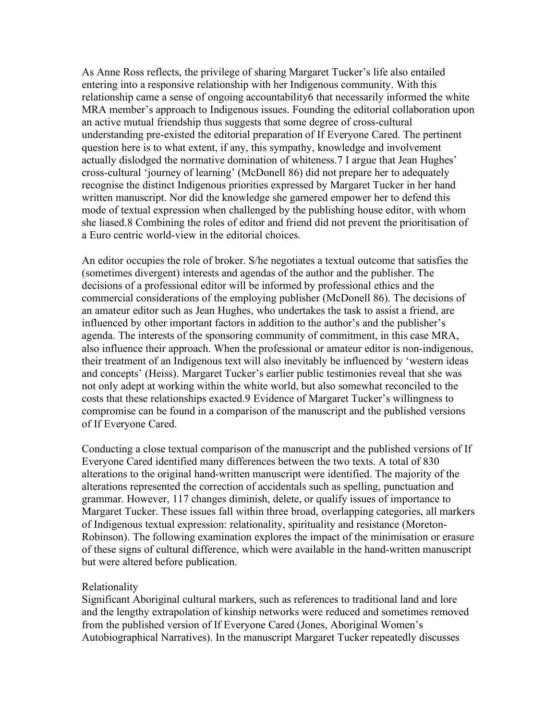As Anne Ross reflects, the privilege of sharing Margaret Tucker's life also entailed entering into a responsive relationship with her Indigenous community. With this relationship came a sense of ongoing accountability6 that necessarily informed the white MRA member's approach to Indigenous issues. Founding the editorial collaboration upon an active mutual friendship thus suggests that some degree of cross-cultural understanding pre-existed the editorial preparation of If Everyone Cared. The pertinent question here is to what extent, if any, this sympathy, knowledge and involvement actually dislodged the normative domination of whiteness.7 I argue that Jean Hughes' cross-cultural 'journey of learning' (McDonell 86) did not prepare her to adequately recognise the distinct Indigenous priorities expressed by Margaret Tucker in her hand written manuscript. Nor did the knowledge she garnered empower her to defend this mode of textual expression when challenged by the publishing house editor, with whom she liased.8 Combining the roles of editor and friend did not prevent the prioritisation of a Euro centric world-view in the editorial choices.

An editor occupies the role of broker. S/he negotiates a textual outcome that satisfies the (sometimes divergent) interests and agendas of the author and the publisher. The decisions of a professional editor will be informed by professional ethics and the commercial considerations of the employing publisher (McDonell 86). The decisions of an amateur editor such as Jean Hughes, who undertakes the task to assist a friend, are influenced by other important factors in addition to the author's and the publisher's agenda. The interests of the sponsoring community of commitment, in this case MRA, also influence their approach. When the professional or amateur editor is non-indigenous, their treatment of an Indigenous text will also inevitably be influenced by 'western ideas and concepts' (Heiss). Margaret Tucker's earlier public testimonies reveal that she was not only adept at working within the white world, but also somewhat reconciled to the costs that these relationships exacted.9 Evidence of Margaret Tucker's willingness to compromise can be found in a comparison of the manuscript and the published versions of If Everyone Cared.

Conducting a close textual comparison of the manuscript and the published versions of If Everyone Cared identified many differences between the two texts. A total of 830 alterations to the original hand-written manuscript were identified. The majority of the alterations represented the correction of accidentals such as spelling, punctuation and grammar. However, 117 changes diminish, delete, or qualify issues of importance to Margaret Tucker. These issues fall within three broad, overlapping categories, all markers of Indigenous textual expression: relationality, spirituality and resistance (Moreton-Robinson). The following examination explores the impact of the minimisation or erasure of these signs of cultural difference, which were available in the hand-written manuscript but were altered before publication.

## Relationality

Significant Aboriginal cultural markers, such as references to traditional land and lore and the lengthy extrapolation of kinship networks were reduced and sometimes removed from the published version of If Everyone Cared (Jones, Aboriginal Women's Autobiographical Narratives). In the manuscript Margaret Tucker repeatedly discusses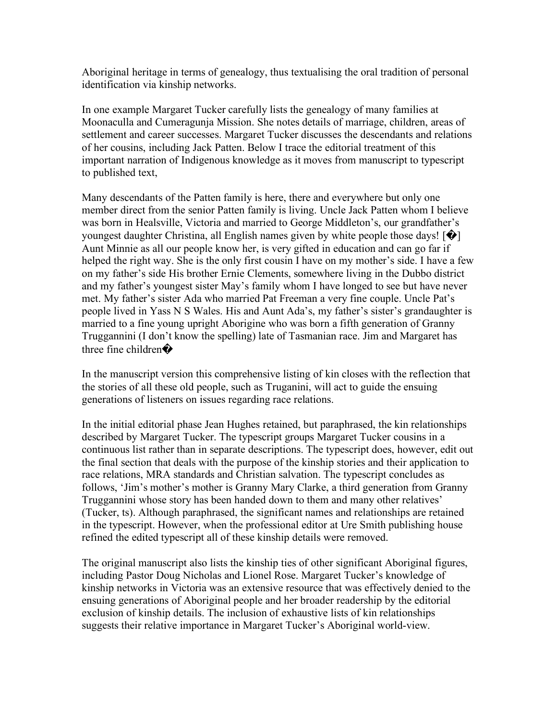Aboriginal heritage in terms of genealogy, thus textualising the oral tradition of personal identification via kinship networks.

In one example Margaret Tucker carefully lists the genealogy of many families at Moonaculla and Cumeragunja Mission. She notes details of marriage, children, areas of settlement and career successes. Margaret Tucker discusses the descendants and relations of her cousins, including Jack Patten. Below I trace the editorial treatment of this important narration of Indigenous knowledge as it moves from manuscript to typescript to published text,

Many descendants of the Patten family is here, there and everywhere but only one member direct from the senior Patten family is living. Uncle Jack Patten whom I believe was born in Healsville, Victoria and married to George Middleton's, our grandfather's youngest daughter Christina, all English names given by white people those days! [�] Aunt Minnie as all our people know her, is very gifted in education and can go far if helped the right way. She is the only first cousin I have on my mother's side. I have a few on my father's side His brother Ernie Clements, somewhere living in the Dubbo district and my father's youngest sister May's family whom I have longed to see but have never met. My father's sister Ada who married Pat Freeman a very fine couple. Uncle Pat's people lived in Yass N S Wales. His and Aunt Ada's, my father's sister's grandaughter is married to a fine young upright Aborigine who was born a fifth generation of Granny Truggannini (I don't know the spelling) late of Tasmanian race. Jim and Margaret has three fine children $\bullet$ 

In the manuscript version this comprehensive listing of kin closes with the reflection that the stories of all these old people, such as Truganini, will act to guide the ensuing generations of listeners on issues regarding race relations.

In the initial editorial phase Jean Hughes retained, but paraphrased, the kin relationships described by Margaret Tucker. The typescript groups Margaret Tucker cousins in a continuous list rather than in separate descriptions. The typescript does, however, edit out the final section that deals with the purpose of the kinship stories and their application to race relations, MRA standards and Christian salvation. The typescript concludes as follows, 'Jim's mother's mother is Granny Mary Clarke, a third generation from Granny Truggannini whose story has been handed down to them and many other relatives' (Tucker, ts). Although paraphrased, the significant names and relationships are retained in the typescript. However, when the professional editor at Ure Smith publishing house refined the edited typescript all of these kinship details were removed.

The original manuscript also lists the kinship ties of other significant Aboriginal figures, including Pastor Doug Nicholas and Lionel Rose. Margaret Tucker's knowledge of kinship networks in Victoria was an extensive resource that was effectively denied to the ensuing generations of Aboriginal people and her broader readership by the editorial exclusion of kinship details. The inclusion of exhaustive lists of kin relationships suggests their relative importance in Margaret Tucker's Aboriginal world-view.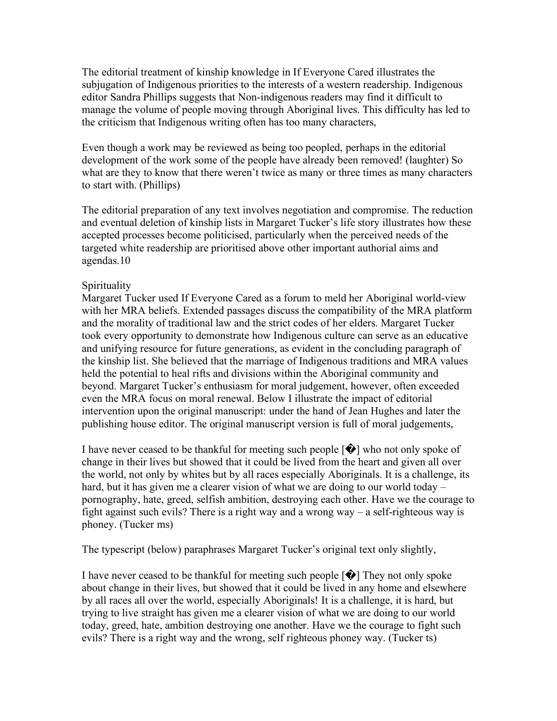The editorial treatment of kinship knowledge in If Everyone Cared illustrates the subjugation of Indigenous priorities to the interests of a western readership. Indigenous editor Sandra Phillips suggests that Non-indigenous readers may find it difficult to manage the volume of people moving through Aboriginal lives. This difficulty has led to the criticism that Indigenous writing often has too many characters,

Even though a work may be reviewed as being too peopled, perhaps in the editorial development of the work some of the people have already been removed! (laughter) So what are they to know that there weren't twice as many or three times as many characters to start with. (Phillips)

The editorial preparation of any text involves negotiation and compromise. The reduction and eventual deletion of kinship lists in Margaret Tucker's life story illustrates how these accepted processes become politicised, particularly when the perceived needs of the targeted white readership are prioritised above other important authorial aims and agendas.10

## Spirituality

Margaret Tucker used If Everyone Cared as a forum to meld her Aboriginal world-view with her MRA beliefs. Extended passages discuss the compatibility of the MRA platform and the morality of traditional law and the strict codes of her elders. Margaret Tucker took every opportunity to demonstrate how Indigenous culture can serve as an educative and unifying resource for future generations, as evident in the concluding paragraph of the kinship list. She believed that the marriage of Indigenous traditions and MRA values held the potential to heal rifts and divisions within the Aboriginal community and beyond. Margaret Tucker's enthusiasm for moral judgement, however, often exceeded even the MRA focus on moral renewal. Below I illustrate the impact of editorial intervention upon the original manuscript: under the hand of Jean Hughes and later the publishing house editor. The original manuscript version is full of moral judgements,

I have never ceased to be thankful for meeting such people  $[\hat{\blacklozenge}]$  who not only spoke of change in their lives but showed that it could be lived from the heart and given all over the world, not only by whites but by all races especially Aboriginals. It is a challenge, its hard, but it has given me a clearer vision of what we are doing to our world today – pornography, hate, greed, selfish ambition, destroying each other. Have we the courage to fight against such evils? There is a right way and a wrong way – a self-righteous way is phoney. (Tucker ms)

The typescript (below) paraphrases Margaret Tucker's original text only slightly,

I have never ceased to be thankful for meeting such people  $[\mathbf{\diamond} ]$  They not only spoke about change in their lives, but showed that it could be lived in any home and elsewhere by all races all over the world, especially Aboriginals! It is a challenge, it is hard, but trying to live straight has given me a clearer vision of what we are doing to our world today, greed, hate, ambition destroying one another. Have we the courage to fight such evils? There is a right way and the wrong, self righteous phoney way. (Tucker ts)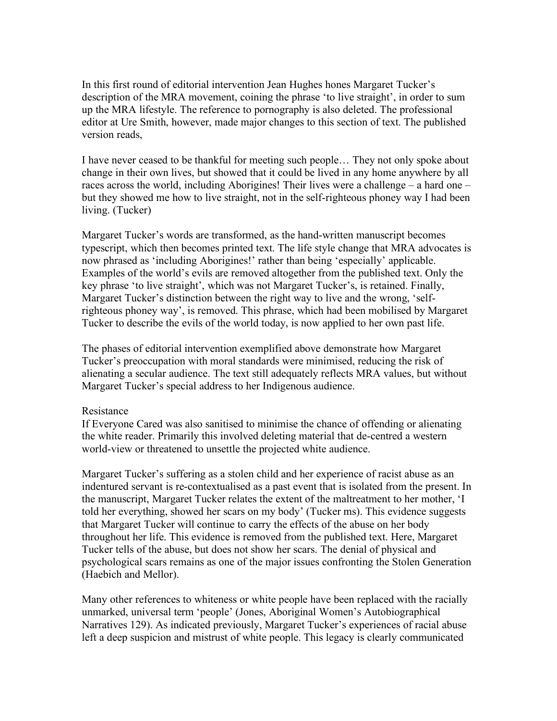In this first round of editorial intervention Jean Hughes hones Margaret Tucker's description of the MRA movement, coining the phrase 'to live straight', in order to sum up the MRA lifestyle. The reference to pornography is also deleted. The professional editor at Ure Smith, however, made major changes to this section of text. The published version reads,

I have never ceased to be thankful for meeting such people… They not only spoke about change in their own lives, but showed that it could be lived in any home anywhere by all races across the world, including Aborigines! Their lives were a challenge – a hard one – but they showed me how to live straight, not in the self-righteous phoney way I had been living. (Tucker)

Margaret Tucker's words are transformed, as the hand-written manuscript becomes typescript, which then becomes printed text. The life style change that MRA advocates is now phrased as 'including Aborigines!' rather than being 'especially' applicable. Examples of the world's evils are removed altogether from the published text. Only the key phrase 'to live straight', which was not Margaret Tucker's, is retained. Finally, Margaret Tucker's distinction between the right way to live and the wrong, 'selfrighteous phoney way', is removed. This phrase, which had been mobilised by Margaret Tucker to describe the evils of the world today, is now applied to her own past life.

The phases of editorial intervention exemplified above demonstrate how Margaret Tucker's preoccupation with moral standards were minimised, reducing the risk of alienating a secular audience. The text still adequately reflects MRA values, but without Margaret Tucker's special address to her Indigenous audience.

## Resistance

If Everyone Cared was also sanitised to minimise the chance of offending or alienating the white reader. Primarily this involved deleting material that de-centred a western world-view or threatened to unsettle the projected white audience.

Margaret Tucker's suffering as a stolen child and her experience of racist abuse as an indentured servant is re-contextualised as a past event that is isolated from the present. In the manuscript, Margaret Tucker relates the extent of the maltreatment to her mother, 'I told her everything, showed her scars on my body' (Tucker ms). This evidence suggests that Margaret Tucker will continue to carry the effects of the abuse on her body throughout her life. This evidence is removed from the published text. Here, Margaret Tucker tells of the abuse, but does not show her scars. The denial of physical and psychological scars remains as one of the major issues confronting the Stolen Generation (Haebich and Mellor).

Many other references to whiteness or white people have been replaced with the racially unmarked, universal term 'people' (Jones, Aboriginal Women's Autobiographical Narratives 129). As indicated previously, Margaret Tucker's experiences of racial abuse left a deep suspicion and mistrust of white people. This legacy is clearly communicated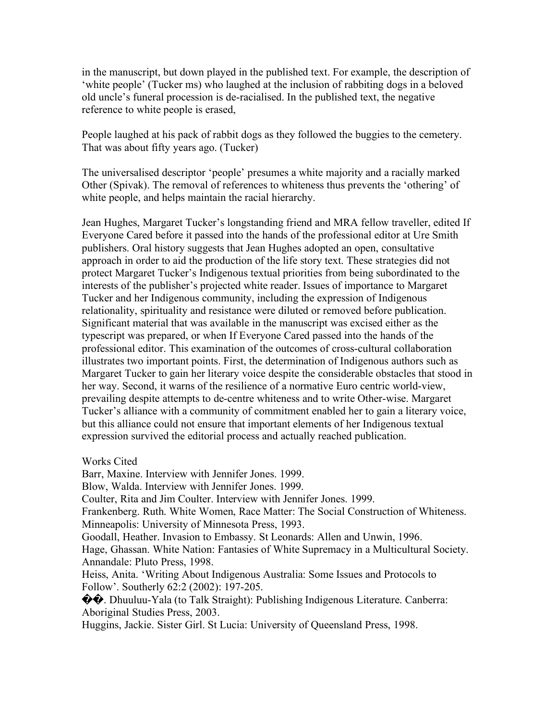in the manuscript, but down played in the published text. For example, the description of 'white people' (Tucker ms) who laughed at the inclusion of rabbiting dogs in a beloved old uncle's funeral procession is de-racialised. In the published text, the negative reference to white people is erased,

People laughed at his pack of rabbit dogs as they followed the buggies to the cemetery. That was about fifty years ago. (Tucker)

The universalised descriptor 'people' presumes a white majority and a racially marked Other (Spivak). The removal of references to whiteness thus prevents the 'othering' of white people, and helps maintain the racial hierarchy.

Jean Hughes, Margaret Tucker's longstanding friend and MRA fellow traveller, edited If Everyone Cared before it passed into the hands of the professional editor at Ure Smith publishers. Oral history suggests that Jean Hughes adopted an open, consultative approach in order to aid the production of the life story text. These strategies did not protect Margaret Tucker's Indigenous textual priorities from being subordinated to the interests of the publisher's projected white reader. Issues of importance to Margaret Tucker and her Indigenous community, including the expression of Indigenous relationality, spirituality and resistance were diluted or removed before publication. Significant material that was available in the manuscript was excised either as the typescript was prepared, or when If Everyone Cared passed into the hands of the professional editor. This examination of the outcomes of cross-cultural collaboration illustrates two important points. First, the determination of Indigenous authors such as Margaret Tucker to gain her literary voice despite the considerable obstacles that stood in her way. Second, it warns of the resilience of a normative Euro centric world-view, prevailing despite attempts to de-centre whiteness and to write Other-wise. Margaret Tucker's alliance with a community of commitment enabled her to gain a literary voice, but this alliance could not ensure that important elements of her Indigenous textual expression survived the editorial process and actually reached publication.

Works Cited

Barr, Maxine. Interview with Jennifer Jones. 1999. Blow, Walda. Interview with Jennifer Jones. 1999. Coulter, Rita and Jim Coulter. Interview with Jennifer Jones. 1999. Frankenberg. Ruth. White Women, Race Matter: The Social Construction of Whiteness. Minneapolis: University of Minnesota Press, 1993. Goodall, Heather. Invasion to Embassy. St Leonards: Allen and Unwin, 1996. Hage, Ghassan. White Nation: Fantasies of White Supremacy in a Multicultural Society. Annandale: Pluto Press, 1998. Heiss, Anita. 'Writing About Indigenous Australia: Some Issues and Protocols to Follow'. Southerly 62:2 (2002): 197-205. ��. Dhuuluu-Yala (to Talk Straight): Publishing Indigenous Literature. Canberra: Aboriginal Studies Press, 2003. Huggins, Jackie. Sister Girl. St Lucia: University of Queensland Press, 1998.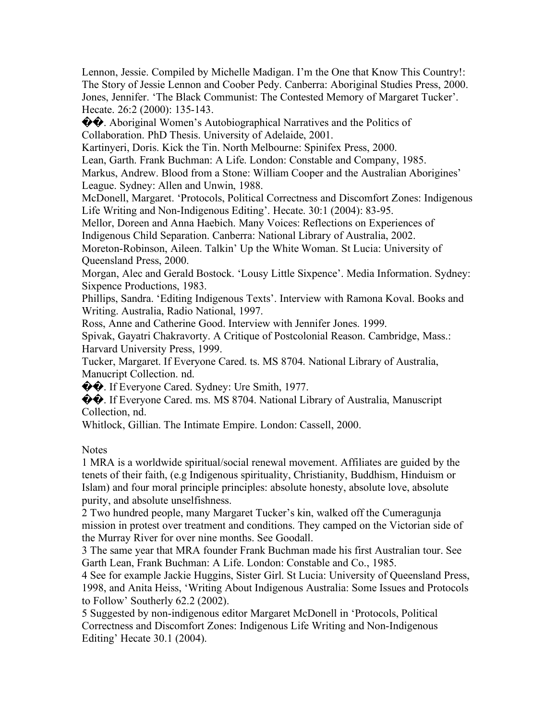Lennon, Jessie. Compiled by Michelle Madigan. I'm the One that Know This Country!: The Story of Jessie Lennon and Coober Pedy. Canberra: Aboriginal Studies Press, 2000. Jones, Jennifer. 'The Black Communist: The Contested Memory of Margaret Tucker'. Hecate. 26:2 (2000): 135-143.

 $\Diamond$ . Aboriginal Women's Autobiographical Narratives and the Politics of Collaboration. PhD Thesis. University of Adelaide, 2001.

Kartinyeri, Doris. Kick the Tin. North Melbourne: Spinifex Press, 2000.

Lean, Garth. Frank Buchman: A Life. London: Constable and Company, 1985.

Markus, Andrew. Blood from a Stone: William Cooper and the Australian Aborigines' League. Sydney: Allen and Unwin, 1988.

McDonell, Margaret. 'Protocols, Political Correctness and Discomfort Zones: Indigenous Life Writing and Non-Indigenous Editing'. Hecate. 30:1 (2004): 83-95.

Mellor, Doreen and Anna Haebich. Many Voices: Reflections on Experiences of

Indigenous Child Separation. Canberra: National Library of Australia, 2002.

Moreton-Robinson, Aileen. Talkin' Up the White Woman. St Lucia: University of Queensland Press, 2000.

Morgan, Alec and Gerald Bostock. 'Lousy Little Sixpence'. Media Information. Sydney: Sixpence Productions, 1983.

Phillips, Sandra. 'Editing Indigenous Texts'. Interview with Ramona Koval. Books and Writing. Australia, Radio National, 1997.

Ross, Anne and Catherine Good. Interview with Jennifer Jones. 1999.

Spivak, Gayatri Chakravorty. A Critique of Postcolonial Reason. Cambridge, Mass.: Harvard University Press, 1999.

Tucker, Margaret. If Everyone Cared. ts. MS 8704. National Library of Australia, Manucript Collection. nd.

 $\lozenge$   $\lozenge$ . If Everyone Cared. Sydney: Ure Smith, 1977.

��. If Everyone Cared. ms. MS 8704. National Library of Australia, Manuscript Collection, nd.

Whitlock, Gillian. The Intimate Empire. London: Cassell, 2000.

**Notes** 

1 MRA is a worldwide spiritual/social renewal movement. Affiliates are guided by the tenets of their faith, (e.g Indigenous spirituality, Christianity, Buddhism, Hinduism or Islam) and four moral principle principles: absolute honesty, absolute love, absolute purity, and absolute unselfishness.

2 Two hundred people, many Margaret Tucker's kin, walked off the Cumeragunja mission in protest over treatment and conditions. They camped on the Victorian side of the Murray River for over nine months. See Goodall.

3 The same year that MRA founder Frank Buchman made his first Australian tour. See Garth Lean, Frank Buchman: A Life. London: Constable and Co., 1985.

4 See for example Jackie Huggins, Sister Girl. St Lucia: University of Queensland Press, 1998, and Anita Heiss, 'Writing About Indigenous Australia: Some Issues and Protocols to Follow' Southerly 62.2 (2002).

5 Suggested by non-indigenous editor Margaret McDonell in 'Protocols, Political Correctness and Discomfort Zones: Indigenous Life Writing and Non-Indigenous Editing' Hecate 30.1 (2004).